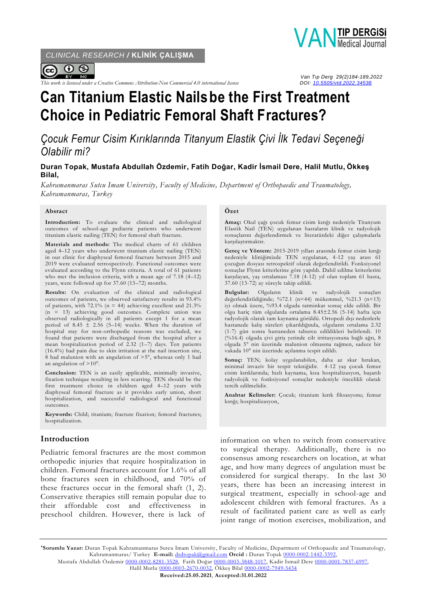*CLINICAL RESEARCH /* **KLİNİK ÇALIŞMA**



 *Van Tıp Derg 29(2)184-189,2022 This work is licensed under a Creative Commons Attribution-Non Commercial 4.0 international license DOI: [10.5505/vtd.2022.34538](https://doi.org/10.5505/vtd.2022.34538)*



# **Can Titanium Elastic Nailsbe the First Treatment Choice in Pediatric Femoral Shaft Fractures?**

*Çocuk Femur Cisim Kırıklarında Titanyum Elastik Çivi İlk Tedavi Seçeneği Olabilir mi?*

**Duran Topak, Mustafa Abdullah Özdemir, Fatih Doğar, Kadir İsmail Dere, Halil Mutlu, Ökkeş Bilal,**

*Kahramanmaras Sutcu Imam University, Faculty of Medicine, Department of Orthopaedic and Traumatology, Kahramanmaras, Turkey*

#### **Absract**

**Introduction:** To evaluate the clinical and radiological outcomes of school-age pediatric patients who underwent titanium elastic nailing (TEN) for femoral shaft fracture.

**Materials and methods:** The medical charts of 61 children aged 4–12 years who underwent titanium elastic nailing (TEN) in our clinic for diaphyseal femoral fracture between 2015 and 2019 were evaluated retrospectively. Functional outcomes were evaluated according to the Flynn criteria. A total of 61 patients who met the inclusion criteria, with a mean age of 7.18 (4–12) years, were followed up for 37.60 (13–72) months.

**Results:** On evaluation of the clinical and radiological outcomes of patients, we observed satisfactory results in 93.4% of patients, with 72.1% ( $n = 44$ ) achieving excellent and 21.3% (n = 13) achieving good outcomes. Complete union was observed radiologically in all patients except 1 for a mean period of 8.45  $\pm$  2.56 (5–14) weeks. When the duration of hospital stay for non-orthopedic reasons was excluded, we found that patients were discharged from the hospital after a mean hospitalization period of  $2.32$  (1–7) days. Ten patients (16.4%) had pain due to skin irritation at the nail insertion site,  $8$  had malunion with an angulation of  $>5^\circ$ , whereas only 1 had an angulation of >10°.

**Conclusion:** TEN is an easily applicable, minimally invasive, fixation technique resulting in less scarring. TEN should be the first treatment choice in children aged 4–12 years with diaphyseal femoral fracture as it provides early union, short hospitalization, and successful radiological and functional outcomes.

**Keywords:** Child; titanium; fracture fixation; femoral fractures; hospitalization.

### **Introduction**

Pediatric femoral fractures are the most common orthopedic injuries that require hospitalization in children. Femoral fractures account for 1.6% of all bone fractures seen in childhood, and 70% of these fractures occur in the femoral shaft (1, 2). Conservative therapies still remain popular due to their affordable cost and effectiveness in preschool children. However, there is lack of

#### **Özet**

**Amaç:** Okul çağı çocuk femur cisim kırığı nedeniyle Titanyum Elastik Nail (TEN) uygulanan hastaların klinik ve radyolojik sonuçlarını değerlendirmek ve literatürdeki diğer çalışmalarla karşılaştırmaktır.

**Gereç ve Yöntem:** 2015-2019 yılları arasında femur cisim kırığı nedeniyle kliniğimizde TEN uygulanan, 4-12 yaş arası 61 çocuğun dosyası retrospektif olarak değerlendirildi. Fonksiyonel sonuçlar Flynn kriterlerine göre yapıldı. Dahil edilme kriterlerini karşılayan, yaş ortalaması 7.18 (4-12) yıl olan toplam 61 hasta, 37.60 (13-72) ay süreyle takip edildi.

**Bulgular:** Olguların klinik ve radyolojik sonuçları değerlendirildiğinde; %72.1 (n=44) mükemmel, %21.3 (n=13) iyi olmak üzere, %93.4 olguda tatminkar sonuç elde edildi. Bir olgu hariç tüm olgularda ortalama 8.45±2.56 (5-14) hafta için radyolojik olarak tam kaynama görüldü. Ortopedi dışı nedenlerle hastanede kalış süreleri çıkarıldığında, olguların ortalama 2.32 (1-7) gün sonra hastaneden taburcu edildikleri belirlendi. 10 (%16.4) olguda çivi giriş yerinde cilt irritasyonuna bağlı ağrı, 8 olguda 5° nin üzerinde malunion olmasına rağmen, sadece bir vakada 10° nin üzerinde açılanma tespit edildi.

**Sonuç:** TEN; kolay uygulanabilen, daha az skar bırakan, minimal invaziv bir tespit tekniğidir. 4-12 yaş çocuk femur cisim kırıklarında; hızlı kaynama, kısa hospitalizasyon, başarılı radyolojik ve fonksiyonel sonuçlar nedeniyle öncelikli olarak tercih edilmelidir.

**Anahtar Kelimeler:** Çocuk; titanium kırık fiksasyonu; femur kırığı; hospitalizasyon,

information on when to switch from conservative to surgical therapy. Additionally, there is no consensus among researchers on location, at what age, and how many degrees of angulation must be considered for surgical therapy. In the last 30 years, there has been an increasing interest in surgical treatment, especially in school-age and adolescent children with femoral fractures. As a result of facilitated patient care as well as early joint range of motion exercises, mobilization, and

Mustafa Abdullah Özdemir [0000-0002-8281-3528,](https://orcid.org/0000-0002-8281-3528) Fatih Doğar [0000-0003-3848-1017,](https://orcid.org/0000-0003-3848-1017) Kadir İsmail Dere [0000-0001-7837-6997,](https://orcid.org/0000-0001-7837-6997)  Halil Mutlu [0000-0003-2670-0032,](https://orcid.org/0000-0003-2670-0032) Ökkeş Bilal [0000-0002-7949-5434](https://orcid.org/0000-0002-7949-5434)

**<sup>\*</sup>Sorumlu Yazar:** Duran Topak Kahramanmaras Sutcu Imam University, Faculty of Medicine, Department of Orthopaedic and Traumatology, Kahramanmaras/ Turkey **E-mail:** [drdtopak@gmail.com](mailto:drdtopak@gmail.com) **Orcid :** Duran Topak [0000-0002-1442-3392,](https://orcid.org/0000-0002-1442-3392)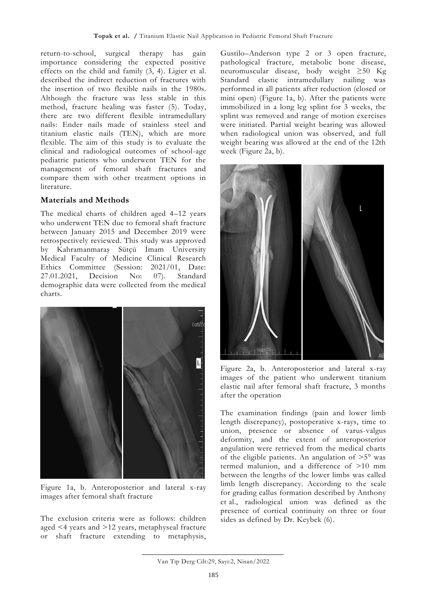return-to-school, surgical therapy has gain importance considering the expected positive effects on the child and family (3, 4). Ligier et al. described the indirect reduction of fractures with the insertion of two flexible nails in the 1980s. Although the fracture was less stable in this method, fracture healing was faster (5). Today, there are two different flexible intramedullary nails: Ender nails made of stainless steel and titanium elastic nails (TEN), which are more flexible. The aim of this study is to evaluate the clinical and radiological outcomes of school-age pediatric patients who underwent TEN for the management of femoral shaft fractures and compare them with other treatment options in literature.

## **Materials and Methods**

The medical charts of children aged 4–12 years who underwent TEN due to femoral shaft fracture between January 2015 and December 2019 were retrospectively reviewed. This study was approved by Kahramanmaraş Sütçü İmam University Medical Faculty of Medicine Clinical Research Ethics Committee (Session: 2021/01, Date: 27.01.2021, Decision No: 07). Standard demographic data were collected from the medical charts.



Figure 1a, b. Anteroposterior and lateral x-ray images after femoral shaft fracture

The exclusion criteria were as follows: children aged <4 years and >12 years, metaphyseal fracture or shaft fracture extending to metaphysis,

Gustilo–Anderson type 2 or 3 open fracture, pathological fracture, metabolic bone disease, neuromuscular disease, body weight ≥50 Kg Standard elastic intramedullary nailing was performed in all patients after reduction (closed or mini open) (Figure 1a, b). After the patients were immobilized in a long leg splint for 3 weeks, the splint was removed and range of motion exercises were initiated. Partial weight bearing was allowed when radiological union was observed, and full weight bearing was allowed at the end of the 12th week (Figure 2a, b).



Figure 2a, b. Anteroposterior and lateral x-ray images of the patient who underwent titanium elastic nail after femoral shaft fracture, 3 months after the operation

The examination findings (pain and lower limb length discrepancy), postoperative x-rays, time to union, presence or absence of varus-valgus deformity, and the extent of anteroposterior angulation were retrieved from the medical charts of the eligible patients. An angulation of  $>5^\circ$  was termed malunion, and a difference of >10 mm between the lengths of the lower limbs was called limb length discrepancy. According to the scale for grading callus formation described by Anthony et al., radiological union was defined as the presence of cortical continuity on three or four sides as defined by Dr. Keybek (6).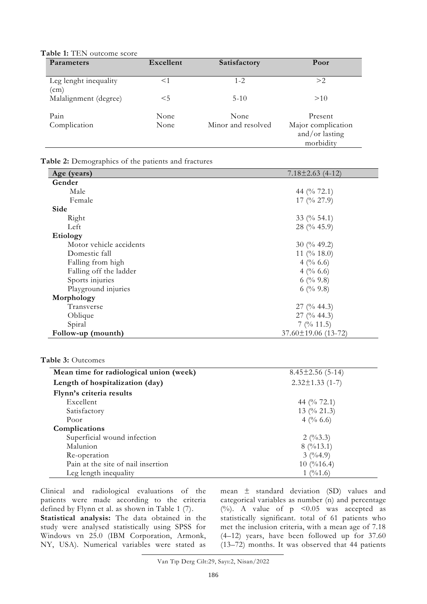**Table 1:** TEN outcome score

| Parameters                    | Excellent | Satisfactory       | Poor                                              |
|-------------------------------|-----------|--------------------|---------------------------------------------------|
| Leg lenght inequality<br>(cm) | $<$ 1     | $1 - 2$            | >2                                                |
| Malalignment (degree)         | $<$ 5     | $5-10$             | >10                                               |
| Pain                          | None      | None               | Present                                           |
| Complication                  | None      | Minor and resolved | Major complication<br>and/or lasting<br>morbidity |

**Table 2:** Demographics of the patients and fractures

| Age (years)             | $7.18 \pm 2.63$ (4-12)      |
|-------------------------|-----------------------------|
| Gender                  |                             |
| Male                    | 44 (% 72.1)                 |
| Female                  | $17$ (% 27.9)               |
| Side                    |                             |
| Right                   | 33 (% 54.1)                 |
| Left                    | $28$ (% 45.9)               |
| Etiology                |                             |
| Motor vehicle accidents | $30 \ (\frac{9}{6} \ 49.2)$ |
| Domestic fall           | 11 (% 18.0)                 |
| Falling from high       | 4 (% 6.6)                   |
| Falling off the ladder  | 4 (% 6.6)                   |
| Sports injuries         | 6 (% $9.8$ )                |
| Playground injuries     | 6 (% $9.8$ )                |
| Morphology              |                             |
| Transverse              | $27 \frac{0}{6}$ 44.3)      |
| Oblique                 | 27 (% 44.3)                 |
| Spiral                  | $7$ (% 11.5)                |
| Follow-up (mounth)      | $37.60 \pm 19.06$ (13-72)   |

| Mean time for radiological union (week) | $8.45 \pm 2.56$ (5-14)                 |
|-----------------------------------------|----------------------------------------|
| Length of hospitalization (day)         | $2.32 \pm 1.33$ (1-7)                  |
| Flynn's criteria results                |                                        |
| Excellent                               | 44 (% 72.1)                            |
| Satisfactory                            | 13 (% 21.3)                            |
| Poor                                    | 4 (% 6.6)                              |
| Complications                           |                                        |
| Superficial wound infection             | $2 \left( \frac{0}{6}3.3 \right)$      |
| Malunion                                | 8(%13.1)                               |
| Re-operation                            | 3(9/64.9)                              |
| Pain at the site of nail insertion      | $10 \, (9/16.4)$                       |
| Leg length inequality                   | $1 \frac{(\frac{9}{61.6})}{\sqrt{25}}$ |

Clinical and radiological evaluations of the patients were made according to the criteria defined by Flynn et al. as shown in Table 1 (7).

**Statistical analysis:** The data obtained in the study were analysed statistically using SPSS for Windows vn 25.0 (IBM Corporation, Armonk, NY, USA). Numerical variables were stated as

mean ± standard deviation (SD) values and categorical variables as number (n) and percentage (%). A value of  $p \leq 0.05$  was accepted as statistically significant. total of 61 patients who met the inclusion criteria, with a mean age of 7.18 (4–12) years, have been followed up for 37.60 (13–72) months. It was observed that 44 patients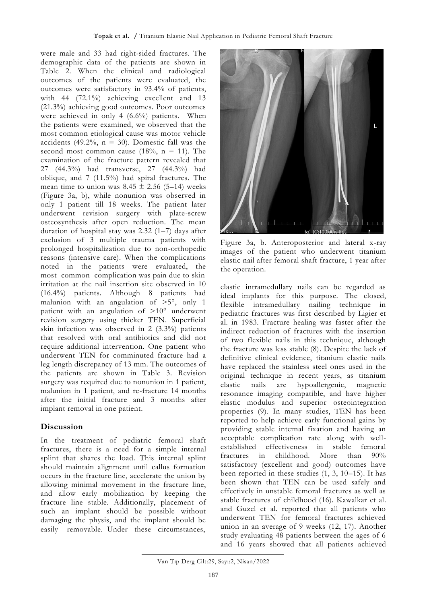were male and 33 had right-sided fractures. The demographic data of the patients are shown in Table 2. When the clinical and radiological outcomes of the patients were evaluated, the outcomes were satisfactory in 93.4% of patients, with 44 (72.1%) achieving excellent and 13 (21.3%) achieving good outcomes. Poor outcomes were achieved in only 4 (6.6%) patients. When the patients were examined, we observed that the most common etiological cause was motor vehicle accidents (49.2%,  $n = 30$ ). Domestic fall was the second most common cause (18%,  $n = 11$ ). The examination of the fracture pattern revealed that 27 (44.3%) had transverse, 27 (44.3%) had oblique, and 7 (11.5%) had spiral fractures. The mean time to union was  $8.45 \pm 2.56$  (5–14) weeks (Figure 3a, b), while nonunion was observed in only 1 patient till 18 weeks. The patient later underwent revision surgery with plate-screw osteosynthesis after open reduction. The mean duration of hospital stay was 2.32 (1–7) days after exclusion of 3 multiple trauma patients with prolonged hospitalization due to non-orthopedic reasons (intensive care). When the complications noted in the patients were evaluated, the most common complication was pain due to skin irritation at the nail insertion site observed in 10 (16.4%) patients. Although 8 patients had malunion with an angulation of >5°, only 1 patient with an angulation of >10° underwent revision surgery using thicker TEN. Superficial skin infection was observed in 2 (3.3%) patients that resolved with oral antibiotics and did not require additional intervention. One patient who underwent TEN for comminuted fracture had a leg length discrepancy of 13 mm. The outcomes of the patients are shown in Table 3. Revision surgery was required due to nonunion in 1 patient, malunion in 1 patient, and re-fracture 14 months after the initial fracture and 3 months after implant removal in one patient.

## **Discussion**

In the treatment of pediatric femoral shaft fractures, there is a need for a simple internal splint that shares the load. This internal splint should maintain alignment until callus formation occurs in the fracture line, accelerate the union by allowing minimal movement in the fracture line, and allow early mobilization by keeping the fracture line stable. Additionally, placement of such an implant should be possible without damaging the physis, and the implant should be easily removable. Under these circumstances,



Figure 3a, b. Anteroposterior and lateral x-ray images of the patient who underwent titanium elastic nail after femoral shaft fracture, 1 year after the operation.

elastic intramedullary nails can be regarded as ideal implants for this purpose. The closed, flexible intramedullary nailing technique in pediatric fractures was first described by Ligier et al. in 1983. Fracture healing was faster after the indirect reduction of fractures with the insertion of two flexible nails in this technique, although the fracture was less stable (8). Despite the lack of definitive clinical evidence, titanium elastic nails have replaced the stainless steel ones used in the original technique in recent years, as titanium elastic nails are hypoallergenic, magnetic resonance imaging compatible, and have higher elastic modulus and superior osteointegration properties (9). In many studies, TEN has been reported to help achieve early functional gains by providing stable internal fixation and having an acceptable complication rate along with wellestablished effectiveness in stable femoral fractures in childhood. More than 90% satisfactory (excellent and good) outcomes have been reported in these studies (1, 3, 10–15). It has been shown that TEN can be used safely and effectively in unstable femoral fractures as well as stable fractures of childhood (16). Kawalkar et al. and Guzel et al. reported that all patients who underwent TEN for femoral fractures achieved union in an average of 9 weeks (12, 17). Another study evaluating 48 patients between the ages of 6 and 16 years showed that all patients achieved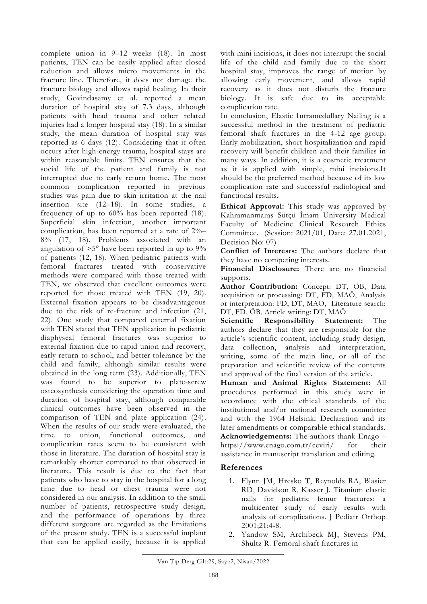complete union in 9–12 weeks (18). In most patients, TEN can be easily applied after closed reduction and allows micro movements in the fracture line. Therefore, it does not damage the fracture biology and allows rapid healing. In their study, Govindasamy et al. reported a mean duration of hospital stay of 7.3 days, although patients with head trauma and other related injuries had a longer hospital stay (18). In a similar study, the mean duration of hospital stay was reported as 6 days (12). Considering that it often occurs after high-energy trauma, hospital stays are within reasonable limits. TEN ensures that the social life of the patient and family is not interrupted due to early return home. The most common complication reported in previous studies was pain due to skin irritation at the nail insertion site (12–18). In some studies, a frequency of up to 60% has been reported (18). Superficial skin infection, another important complication, has been reported at a rate of 2%– 8% (17, 18). Problems associated with an angulation of  $>5^\circ$  have been reported in up to  $9\%$ of patients (12, 18). When pediatric patients with femoral fractures treated with conservative methods were compared with those treated with TEN, we observed that excellent outcomes were reported for those treated with TEN (19, 20). External fixation appears to be disadvantageous due to the risk of re-fracture and infection (21, 22). One study that compared external fixation with TEN stated that TEN application in pediatric diaphyseal femoral fractures was superior to external fixation due to rapid union and recovery, early return to school, and better tolerance by the child and family, although similar results were obtained in the long term (23). Additionally, TEN was found to be superior to plate-screw osteosynthesis considering the operation time and duration of hospital stay, although comparable clinical outcomes have been observed in the comparison of TEN and plate application (24). When the results of our study were evaluated, the time to union, functional outcomes, and complication rates seem to be consistent with those in literature. The duration of hospital stay is remarkably shorter compared to that observed in literature. This result is due to the fact that patients who have to stay in the hospital for a long time due to head or chest trauma were not considered in our analysis. In addition to the small number of patients, retrospective study design, and the performance of operations by three different surgeons are regarded as the limitations of the present study. TEN is a successful implant that can be applied easily, because it is applied

with mini incisions, it does not interrupt the social life of the child and family due to the short hospital stay, improves the range of motion by allowing early movement, and allows rapid recovery as it does not disturb the fracture biology. It is safe due to its acceptable complication rate.

In conclusion, Elastic Intramedullary Nailing is a successful method in the treatment of pediatric femoral shaft fractures in the 4-12 age group. Early mobilization, short hospitalization and rapid recovery will benefit children and their families in many ways. In addition, it is a cosmetic treatment as it is applied with simple, mini incisions.It should be the preferred method because of its low complication rate and successful radiological and functional results.

**Ethical Approval:** This study was approved by Kahramanmaraş Sütçü İmam University Medical Faculty of Medicine Clinical Research Ethics Committee. (Session: 2021/01, Date: 27.01.2021, Decision No: 07)

**Conflict of Interests:** The authors declare that they have no competing interests.

**Financial Disclosure:** There are no financial supports.

**Author Contribution:** Concept: DT, ÖB, Data acquisition or processing: DT, FD, MAÖ, Analysis or interpretation: FD, DT, MAÖ, Literature search: DT, FD, ÖB, Article writing: DT, MAÖ

**Scientific Responsibility Statement:** The authors declare that they are responsible for the article's scientific content, including study design, data collection, analysis and interpretation, writing, some of the main line, or all of the preparation and scientific review of the contents and approval of the final version of the article.

**Human and Animal Rights Statement:** All procedures performed in this study were in accordance with the ethical standards of the institutional and/or national research committee and with the 1964 Helsinki Declaration and its later amendments or comparable ethical standards. **Acknowledgements:** The authors thank Enago – <https://www.enago.com.tr/ceviri/> for their assistance in manuscript translation and editing.

## **References**

- 1. Flynn JM, Hresko T, Reynolds RA, Blasier RD, Davidson R, Kasser J. Titanium elastic nails for pediatric femur fractures: a multicenter study of early results with analysis of complications. J Pediatr Orthop 2001;21:4-8.
- 2. Yandow SM, Archibeck MJ, Stevens PM, Shultz R. Femoral-shaft fractures in